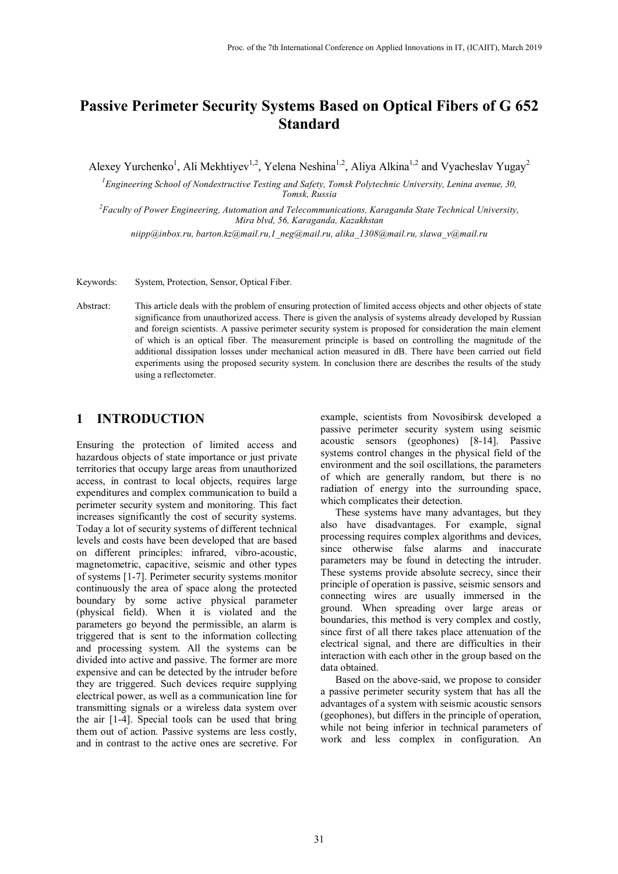# **Passive Perimeter Security Systems Based on Optical Fibers of G 652 Standard**

Alexey Yurchenko<sup>1</sup>, Ali Mekhtiyev<sup>1,2</sup>, Yelena Neshina<sup>1,2</sup>, Aliya Alkina<sup>1,2</sup> and Vyacheslav Yugay<sup>2</sup>

*1 Engineering School of Nondestructive Testing and Safety, Tomsk Polytechnic University, Lenina avenue, 30, Tomsk, Russia* 

*<sup>2</sup>Faculty [of Power Engine](mailto:niipp@inbox.ru)ering, Automation and Telecommunications, Karaganda State Technical University, Mira blvd, 56, Karaganda, Kazakhstan* 

*niipp@inbox.ru, barton.kz@mail.ru[,1\\_neg@mail.ru,](mailto:1_neg@mail.ru) [alika\\_1308@mail.ru,](mailto:alika_1308@mail.ru) slawa\_v@mail.ru* 

Keywords: System, Protection, Sensor, Optical Fiber.

Abstract: This article deals with the problem of ensuring protection of limited access objects and other objects of state significance from unauthorized access. There is given the analysis of systems already developed by Russian and foreign scientists. A passive perimeter security system is proposed for consideration the main element of which is an optical fiber. The measurement principle is based on controlling the magnitude of the additional dissipation losses under mechanical action measured in dB. There have been carried out field experiments using the proposed security system. In conclusion there are describes the results of the study using a reflectometer.

### **1 INTRODUCTION**

Ensuring the protection of limited access and hazardous objects of state importance or just private territories that occupy large areas from unauthorized access, in contrast to local objects, requires large expenditures and complex communication to build a perimeter security system and monitoring. This fact increases significantly the cost of security systems. Today a lot of security systems of different technical levels and costs have been developed that are based on different principles: infrared, vibro-acoustic, magnetometric, capacitive, seismic and other types of systems [1-7]. Perimeter security systems monitor continuously the area of space along the protected boundary by some active physical parameter (physical field). When it is violated and the parameters go beyond the permissible, an alarm is triggered that is sent to the information collecting and processing system. All the systems can be divided into active and passive. The former are more expensive and can be detected by the intruder before they are triggered. Such devices require supplying electrical power, as well as a communication line for transmitting signals or a wireless data system over the air [1-4]. Special tools can be used that bring them out of action. Passive systems are less costly, and in contrast to the active ones are secretive. For example, scientists from Novosibirsk developed a passive perimeter security system using seismic acoustic sensors (geophones) [8-14]. Passive systems control changes in the physical field of the environment and the soil oscillations, the parameters of which are generally random, but there is no radiation of energy into the surrounding space, which complicates their detection.

These systems have many advantages, but they also have disadvantages. For example, signal processing requires complex algorithms and devices, since otherwise false alarms and inaccurate parameters may be found in detecting the intruder. These systems provide absolute secrecy, since their principle of operation is passive, seismic sensors and connecting wires are usually immersed in the ground. When spreading over large areas or boundaries, this method is very complex and costly, since first of all there takes place attenuation of the electrical signal, and there are difficulties in their interaction with each other in the group based on the data obtained.

Based on the above-said, we propose to consider a passive perimeter security system that has all the advantages of a system with seismic acoustic sensors (geophones), but differs in the principle of operation, while not being inferior in technical parameters of work and less complex in configuration. An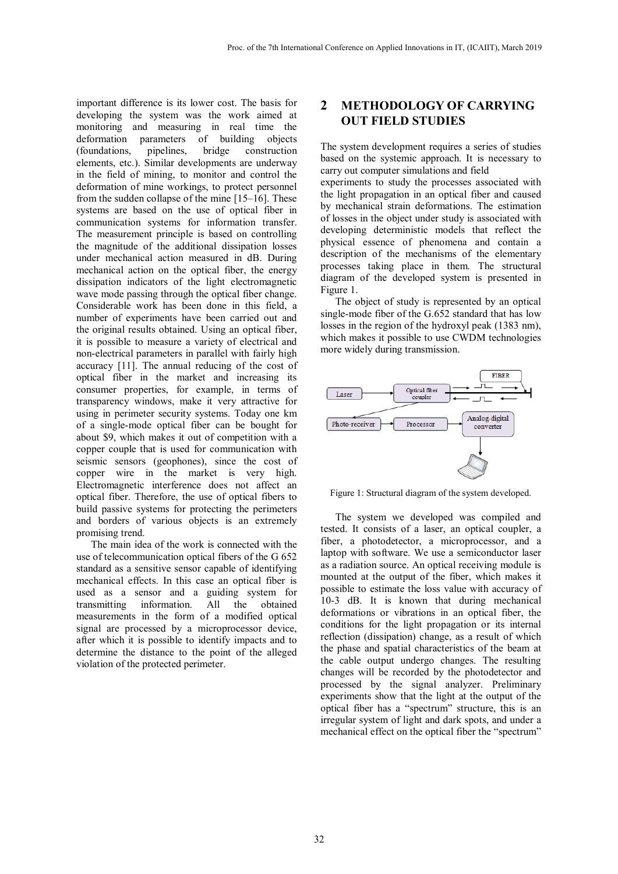important difference is its lower cost. The basis for developing the system was the work aimed at monitoring and measuring in real time the deformation parameters of building objects (foundations, pipelines, bridge construction elements, etc.). Similar developments are underway in the field of mining, to monitor and control the deformation of mine workings, to protect personnel from the sudden collapse of the mine [15–16]. These systems are based on the use of optical fiber in communication systems for information transfer. The measurement principle is based on controlling the magnitude of the additional dissipation losses under mechanical action measured in dB. During mechanical action on the optical fiber, the energy dissipation indicators of the light electromagnetic wave mode passing through the optical fiber change. Considerable work has been done in this field, a number of experiments have been carried out and the original results obtained. Using an optical fiber, it is possible to measure a variety of electrical and non-electrical parameters in parallel with fairly high accuracy [11]. The annual reducing of the cost of optical fiber in the market and increasing its consumer properties, for example, in terms of transparency windows, make it very attractive for using in perimeter security systems. Today one km of a single-mode optical fiber can be bought for about \$9, which makes it out of competition with a copper couple that is used for communication with seismic sensors (geophones), since the cost of copper wire in the market is very high. Electromagnetic interference does not affect an optical fiber. Therefore, the use of optical fibers to build passive systems for protecting the perimeters and borders of various objects is an extremely promising trend.

The main idea of the work is connected with the use of telecommunication optical fibers of the G 652 standard as a sensitive sensor capable of identifying mechanical effects. In this case an optical fiber is used as a sensor and a guiding system for transmitting information. All the obtained measurements in the form of a modified optical signal are processed by a microprocessor device, after which it is possible to identify impacts and to determine the distance to the point of the alleged violation of the protected perimeter.

# **2 METHODOLOGY OF CARRYING OUT FIELD STUDIES**

The system development requires a series of studies based on the systemic approach. It is necessary to carry out computer simulations and field

experiments to study the processes associated with the light propagation in an optical fiber and caused by mechanical strain deformations. The estimation of losses in the object under study is associated with developing deterministic models that reflect the physical essence of phenomena and contain a description of the mechanisms of the elementary processes taking place in them. The structural diagram of the developed system is presented in Figure 1.

The object of study is represented by an optical single-mode fiber of the G.652 standard that has low losses in the region of the hydroxyl peak (1383 nm), which makes it possible to use CWDM technologies more widely during transmission.



Figure 1: Structural diagram of the system developed.

The system we developed was compiled and tested. It consists of a laser, an optical coupler, a fiber, a photodetector, a microprocessor, and a laptop with software. We use a semiconductor laser as a radiation source. An optical receiving module is mounted at the output of the fiber, which makes it possible to estimate the loss value with accuracy of 10-3 dB. It is known that during mechanical deformations or vibrations in an optical fiber, the conditions for the light propagation or its internal reflection (dissipation) change, as a result of which the phase and spatial characteristics of the beam at the cable output undergo changes. The resulting changes will be recorded by the photodetector and processed by the signal analyzer. Preliminary experiments show that the light at the output of the optical fiber has a "spectrum" structure, this is an irregular system of light and dark spots, and under a mechanical effect on the optical fiber the "spectrum"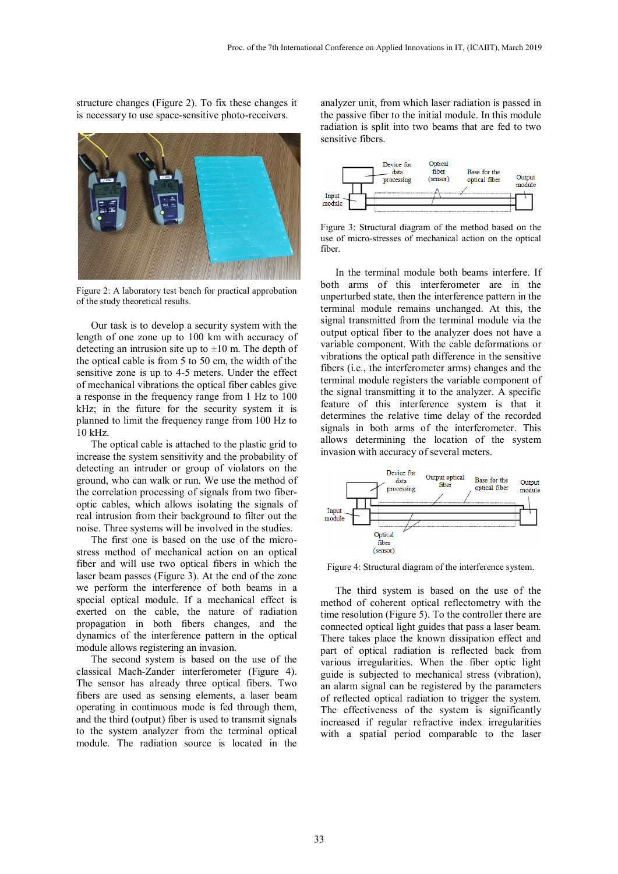structure changes (Figure 2). To fix these changes it is necessary to use space-sensitive photo-receivers.



Figure 2: A laboratory test bench for practical approbation of the study theoretical results.

Our task is to develop a security system with the length of one zone up to 100 km with accuracy of detecting an intrusion site up to  $\pm 10$  m. The depth of the optical cable is from 5 to 50 cm, the width of the sensitive zone is up to 4-5 meters. Under the effect of mechanical vibrations the optical fiber cables give a response in the frequency range from 1 Hz to 100 kHz; in the future for the security system it is planned to limit the frequency range from 100 Hz to 10 kHz.

The optical cable is attached to the plastic grid to increase the system sensitivity and the probability of detecting an intruder or group of violators on the ground, who can walk or run. We use the method of the correlation processing of signals from two fiberoptic cables, which allows isolating the signals of real intrusion from their background to filter out the noise. Three systems will be involved in the studies.

The first one is based on the use of the microstress method of mechanical action on an optical fiber and will use two optical fibers in which the laser beam passes (Figure 3). At the end of the zone we perform the interference of both beams in a special optical module. If a mechanical effect is exerted on the cable, the nature of radiation propagation in both fibers changes, and the dynamics of the interference pattern in the optical module allows registering an invasion.

The second system is based on the use of the classical Mach-Zander interferometer (Figure 4). The sensor has already three optical fibers. Two fibers are used as sensing elements, a laser beam operating in continuous mode is fed through them, and the third (output) fiber is used to transmit signals to the system analyzer from the terminal optical module. The radiation source is located in the analyzer unit, from which laser radiation is passed in the passive fiber to the initial module. In this module radiation is split into two beams that are fed to two sensitive fibers.



Figure 3: Structural diagram of the method based on the use of micro-stresses of mechanical action on the optical fiber.

In the terminal module both beams interfere. If both arms of this interferometer are in the unperturbed state, then the interference pattern in the terminal module remains unchanged. At this, the signal transmitted from the terminal module via the output optical fiber to the analyzer does not have a variable component. With the cable deformations or vibrations the optical path difference in the sensitive fibers (i.e., the interferometer arms) changes and the terminal module registers the variable component of the signal transmitting it to the analyzer. A specific feature of this interference system is that it determines the relative time delay of the recorded signals in both arms of the interferometer. This allows determining the location of the system invasion with accuracy of several meters.



Figure 4: Structural diagram of the interference system.

The third system is based on the use of the method of coherent optical reflectometry with the time resolution (Figure 5). To the controller there are connected optical light guides that pass a laser beam. There takes place the known dissipation effect and part of optical radiation is reflected back from various irregularities. When the fiber optic light guide is subjected to mechanical stress (vibration), an alarm signal can be registered by the parameters of reflected optical radiation to trigger the system. The effectiveness of the system is significantly increased if regular refractive index irregularities with a spatial period comparable to the laser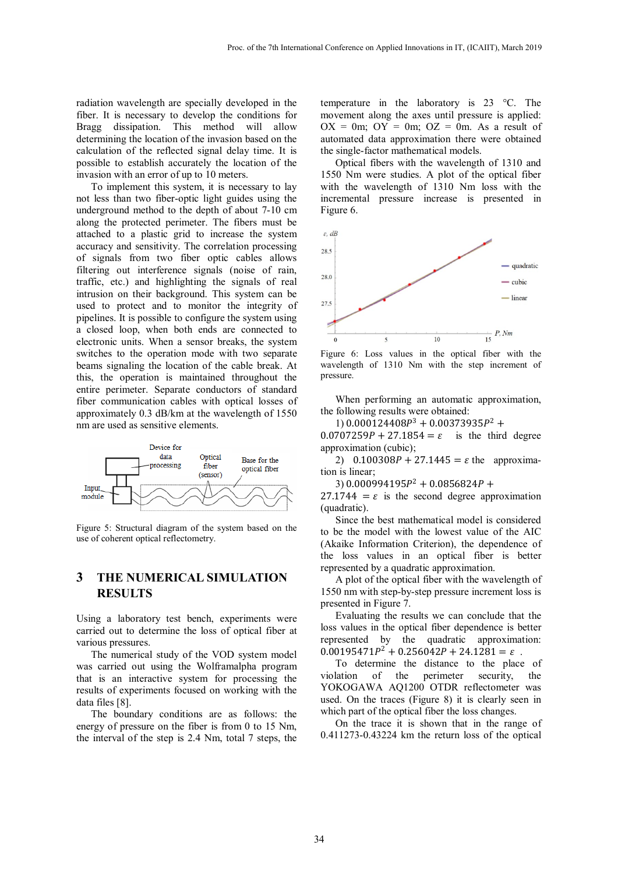radiation wavelength are specially developed in the fiber. It is necessary to develop the conditions for Bragg dissipation. This method will allow determining the location of the invasion based on the calculation of the reflected signal delay time. It is possible to establish accurately the location of the invasion with an error of up to 10 meters.

To implement this system, it is necessary to lay not less than two fiber-optic light guides using the underground method to the depth of about 7-10 cm along the protected perimeter. The fibers must be attached to a plastic grid to increase the system accuracy and sensitivity. The correlation processing of signals from two fiber optic cables allows filtering out interference signals (noise of rain, traffic, etc.) and highlighting the signals of real intrusion on their background. This system can be used to protect and to monitor the integrity of pipelines. It is possible to configure the system using a closed loop, when both ends are connected to electronic units. When a sensor breaks, the system switches to the operation mode with two separate beams signaling the location of the cable break. At this, the operation is maintained throughout the entire perimeter. Separate conductors of standard fiber communication cables with optical losses of approximately 0.3 dB/km at the wavelength of 1550 nm are used as sensitive elements.



Figure 5: Structural diagram of the system based on the use of coherent optical reflectometry.

# **3 THE NUMERICAL SIMULATION RESULTS**

Using a laboratory test bench, experiments were carried out to determine the loss of optical fiber at various pressures.

The numerical study of the VOD system model was carried out using the Wolframalpha program that is an interactive system for processing the results of experiments focused on working with the data files [8].

The boundary conditions are as follows: the energy of pressure on the fiber is from 0 to 15 Nm, the interval of the step is 2.4 Nm, total 7 steps, the

temperature in the laboratory is 23 °C. The movement along the axes until pressure is applied:  $OX = 0m$ ;  $OY = 0m$ ;  $OZ = 0m$ . As a result of automated data approximation there were obtained the single-factor mathematical models.

Optical fibers with the wavelength of 1310 and 1550 Nm were studies. A plot of the optical fiber with the wavelength of 1310 Nm loss with the incremental pressure increase is presented in Figure 6.



Figure 6: Loss values in the optical fiber with the wavelength of 1310 Nm with the step increment of pressure.

When performing an automatic approximation, the following results were obtained:

1)  $0.000124408P^3 + 0.00373935P^2 +$ 

 $0.0707259P + 27.1854 = \varepsilon$  is the third degree approximation (cubic);

2)  $0.100308P + 27.1445 = \varepsilon$  the approximation is linear;

3)  $0.000994195P^2 + 0.0856824P +$ 

 $27.1744 = \varepsilon$  is the second degree approximation (quadratic).

Since the best mathematical model is considered to be the model with the lowest value of the AIC (Akaike Information Criterion), the dependence of the loss values in an optical fiber is better represented by a quadratic approximation.

A plot of the optical fiber with the wavelength of 1550 nm with step-by-step pressure increment loss is presented in Figure 7.

Evaluating the results we can conclude that the loss values in the optical fiber dependence is better represented by the quadratic approximation:  $0.00195471P^2 + 0.256042P + 24.1281 = \varepsilon$ .

To determine the distance to the place of violation of the perimeter security, the YOKOGAWA AQ1200 OTDR reflectometer was used. On the traces (Figure 8) it is clearly seen in which part of the optical fiber the loss changes.

On the trace it is shown that in the range of 0.411273-0.43224 km the return loss of the optical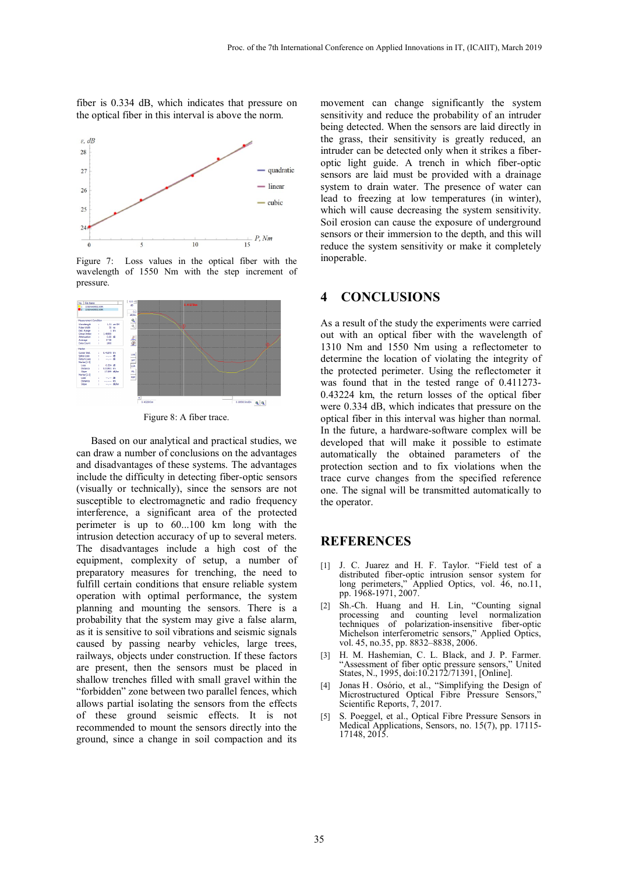fiber is 0.334 dB, which indicates that pressure on the optical fiber in this interval is above the norm.



Figure 7: Loss values in the optical fiber with the wavelength of 1550 Nm with the step increment of pressure.



Figure 8: A fiber trace.

Based on our analytical and practical studies, we can draw a number of conclusions on the advantages and disadvantages of these systems. The advantages include the difficulty in detecting fiber-optic sensors (visually or technically), since the sensors are not susceptible to electromagnetic and radio frequency interference, a significant area of the protected perimeter is up to 60...100 km long with the intrusion detection accuracy of up to several meters. The disadvantages include a high cost of the equipment, complexity of setup, a number of preparatory measures for trenching, the need to fulfill certain conditions that ensure reliable system operation with optimal performance, the system planning and mounting the sensors. There is a probability that the system may give a false alarm, as it is sensitive to soil vibrations and seismic signals caused by passing nearby vehicles, large trees, railways, objects under construction. If these factors are present, then the sensors must be placed in shallow trenches filled with small gravel within the "forbidden" zone between two parallel fences, which allows partial isolating the sensors from the effects of these ground seismic effects. It is not recommended to mount the sensors directly into the ground, since a change in soil compaction and its

movement can change significantly the system sensitivity and reduce the probability of an intruder being detected. When the sensors are laid directly in the grass, their sensitivity is greatly reduced, an intruder can be detected only when it strikes a fiberoptic light guide. A trench in which fiber-optic sensors are laid must be provided with a drainage system to drain water. The presence of water can lead to freezing at low temperatures (in winter), which will cause decreasing the system sensitivity. Soil erosion can cause the exposure of underground sensors or their immersion to the depth, and this will reduce the system sensitivity or make it completely inoperable.

#### **4 CONCLUSIONS**

As a result of the study the experiments were carried out with an optical fiber with the wavelength of 1310 Nm and 1550 Nm using a reflectometer to determine the location of violating the integrity of the protected perimeter. Using the reflectometer it was found that in the tested range of 0.411273- 0.43224 km, the return losses of the optical fiber were 0.334 dB, which indicates that pressure on the optical fiber in this interval was higher than normal. In the future, a hardware-software complex will be developed that will make it possible to estimate automatically the obtained parameters of the protection section and to fix violations when the trace curve changes from the specified reference one. The signal will be transmitted automatically to the operator.

#### **REFERENCES**

- [1] J. C. Juarez and H. F. Taylor. "Field test of a distributed fiber-optic intrusion sensor system for long perimeters," Applied Optics, vol. 46, no.11, pp. 1968-1971, 2007.
- [2] Sh.-Ch. Huang and H. Lin, "Counting signal processing and counting level normalization techniques of polarization-insensitive fiber-optic Michelson interferometric sensors," Applied Optics, vol. 45, no.35, pp. 8832–8838, 2006.
- [3] H. M. Hashemian, C. L. Black, and J. P. Farmer. "Assessment of fiber optic pressure sensors," United States, N., 1995, doi:10.2172/71391, [Online].
- [4] Jonas H . Osório, et al., "Simplifying the Design of Microstructured Optical Fibre Pressure Sensors," Scientific Reports, 7, 2017.
- [5] S. Poeggel, et al., Optical Fibre Pressure Sensors in Medical Applications, Sensors, no. 15(7), рр. 17115- 17148, 2015.